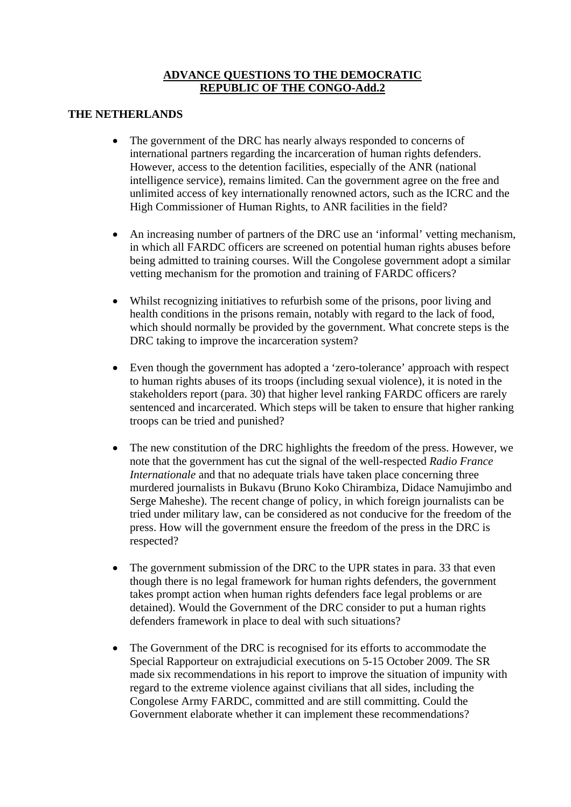## **ADVANCE QUESTIONS TO THE DEMOCRATIC REPUBLIC OF THE CONGO-Add.2**

## **THE NETHERLANDS**

- The government of the DRC has nearly always responded to concerns of international partners regarding the incarceration of human rights defenders. However, access to the detention facilities, especially of the ANR (national intelligence service), remains limited. Can the government agree on the free and unlimited access of key internationally renowned actors, such as the ICRC and the High Commissioner of Human Rights, to ANR facilities in the field?
- An increasing number of partners of the DRC use an 'informal' vetting mechanism, in which all FARDC officers are screened on potential human rights abuses before being admitted to training courses. Will the Congolese government adopt a similar vetting mechanism for the promotion and training of FARDC officers?
- Whilst recognizing initiatives to refurbish some of the prisons, poor living and health conditions in the prisons remain, notably with regard to the lack of food, which should normally be provided by the government. What concrete steps is the DRC taking to improve the incarceration system?
- Even though the government has adopted a 'zero-tolerance' approach with respect to human rights abuses of its troops (including sexual violence), it is noted in the stakeholders report (para. 30) that higher level ranking FARDC officers are rarely sentenced and incarcerated. Which steps will be taken to ensure that higher ranking troops can be tried and punished?
- The new constitution of the DRC highlights the freedom of the press. However, we note that the government has cut the signal of the well-respected *Radio France Internationale* and that no adequate trials have taken place concerning three murdered journalists in Bukavu (Bruno Koko Chirambiza, Didace Namujimbo and Serge Maheshe). The recent change of policy, in which foreign journalists can be tried under military law, can be considered as not conducive for the freedom of the press. How will the government ensure the freedom of the press in the DRC is respected?
- The government submission of the DRC to the UPR states in para. 33 that even though there is no legal framework for human rights defenders, the government takes prompt action when human rights defenders face legal problems or are detained). Would the Government of the DRC consider to put a human rights defenders framework in place to deal with such situations?
- The Government of the DRC is recognised for its efforts to accommodate the Special Rapporteur on extrajudicial executions on 5-15 October 2009. The SR made six recommendations in his report to improve the situation of impunity with regard to the extreme violence against civilians that all sides, including the Congolese Army FARDC, committed and are still committing. Could the Government elaborate whether it can implement these recommendations?